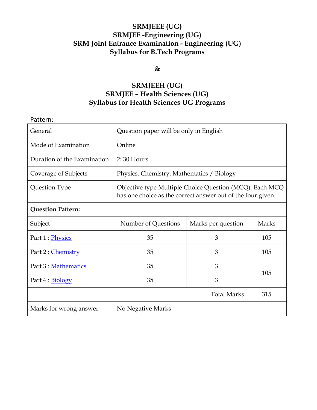# **SRMJEEE (UG) SRMJEE -Engineering (UG) SRM Joint Entrance Examination - Engineering (UG) Syllabus for B.Tech Programs**

# **&**

# **SRMJEEH (UG) SRMJEE – Health Sciences (UG) Syllabus for Health Sciences UG Programs**

| Pattern:                    |                                                                                                                        |                    |       |
|-----------------------------|------------------------------------------------------------------------------------------------------------------------|--------------------|-------|
| General                     | Question paper will be only in English                                                                                 |                    |       |
| Mode of Examination         | Online                                                                                                                 |                    |       |
| Duration of the Examination | $2:30$ Hours                                                                                                           |                    |       |
| Coverage of Subjects        | Physics, Chemistry, Mathematics / Biology                                                                              |                    |       |
| Question Type               | Objective type Multiple Choice Question (MCQ). Each MCQ<br>has one choice as the correct answer out of the four given. |                    |       |
| <b>Question Pattern:</b>    |                                                                                                                        |                    |       |
| Subject                     | Number of Questions                                                                                                    | Marks per question | Marks |
| Part 1 : Physics            | 35                                                                                                                     | 3                  | 105   |
| Part 2 : Chemistry          | 35                                                                                                                     | 3                  | 105   |
| Part 3 : Mathematics        | 35                                                                                                                     | 3                  | 105   |
| Part 4 : Biology            | 35                                                                                                                     | 3                  |       |
| <b>Total Marks</b>          |                                                                                                                        |                    | 315   |
| Marks for wrong answer      | No Negative Marks                                                                                                      |                    |       |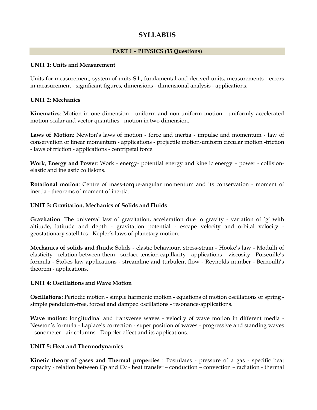# <span id="page-1-0"></span>**SYLLABUS**

## **PART 1 – PHYSICS (35 Questions)**

#### **UNIT 1: Units and Measurement**

Units for measurement, system of units-S.I., fundamental and derived units, measurements - errors in measurement - significant figures, dimensions - dimensional analysis - applications.

#### **UNIT 2: Mechanics**

**Kinematics**: Motion in one dimension - uniform and non-uniform motion - uniformly accelerated motion-scalar and vector quantities - motion in two dimension.

**Laws of Motion**: Newton's laws of motion - force and inertia - impulse and momentum - law of conservation of linear momentum - applications - projectile motion-uniform circular motion -friction - laws of friction - applications - centripetal force.

**Work, Energy and Power**: Work - energy- potential energy and kinetic energy – power - collisionelastic and inelastic collisions.

**Rotational motion**: Centre of mass-torque-angular momentum and its conservation - moment of inertia - theorems of moment of inertia.

#### **UNIT 3: Gravitation, Mechanics of Solids and Fluids**

**Gravitation**: The universal law of gravitation, acceleration due to gravity - variation of 'g' with altitude, latitude and depth - gravitation potential - escape velocity and orbital velocity geostationary satellites - Kepler's laws of planetary motion.

**Mechanics of solids and fluids**: Solids - elastic behaviour, stress-strain - Hooke's law - Modulli of elasticity - relation between them - surface tension capillarity - applications – viscosity - Poiseuille's formula - Stokes law applications - streamline and turbulent flow - Reynolds number - Bernoulli's theorem - applications.

#### **UNIT 4: Oscillations and Wave Motion**

**Oscillations**: Periodic motion - simple harmonic motion - equations of motion oscillations of spring simple pendulum-free, forced and damped oscillations - resonance-applications.

**Wave motion**: longitudinal and transverse waves - velocity of wave motion in different media - Newton's formula - Laplace's correction - super position of waves - progressive and standing waves – sonometer - air columns - Doppler effect and its applications.

## **UNIT 5: Heat and Thermodynamics**

**Kinetic theory of gases and Thermal properties** : Postulates - pressure of a gas - specific heat capacity - relation between Cp and Cv - heat transfer – conduction – convection – radiation - thermal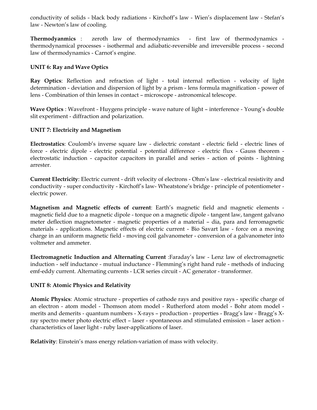conductivity of solids - black body radiations - Kirchoff's law - Wien's displacement law - Stefan's law - Newton's law of cooling.

**Thermodyanmics** : zeroth law of thermodynamics - first law of thermodynamics thermodynamical processes - isothermal and adiabatic-reversible and irreversible process - second law of thermodynamics - Carnot's engine.

# **UNIT 6: Ray and Wave Optics**

**Ray Optics**: Reflection and refraction of light - total internal reflection - velocity of light determination - deviation and dispersion of light by a prism - lens formula magnification - power of lens - Combination of thin lenses in contact – microscope - astronomical telescope.

**Wave Optics** : Wavefront - Huygens principle - wave nature of light – interference - Young's double slit experiment - diffraction and polarization.

# **UNIT 7: Electricity and Magnetism**

**Electrostatics**: Coulomb's inverse square law - dielectric constant - electric field - electric lines of force - electric dipole - electric potential - potential difference - electric flux - Gauss theorem electrostatic induction - capacitor capacitors in parallel and series - action of points - lightning arrester.

**Current Electricity**: Electric current - drift velocity of electrons - Ohm's law - electrical resistivity and conductivity - super conductivity - Kirchoff's law- Wheatstone's bridge - principle of potentiometer electric power.

**Magnetism and Magnetic effects of current**: Earth's magnetic field and magnetic elements magnetic field due to a magnetic dipole - torque on a magnetic dipole - tangent law, tangent galvano meter deflection magnetometer - magnetic properties of a material – dia, para and ferromagnetic materials - applications. Magnetic effects of electric current - Bio Savart law - force on a moving charge in an uniform magnetic field - moving coil galvanometer - conversion of a galvanometer into voltmeter and ammeter.

**Electromagnetic Induction and Alternating Current** :Faraday's law - Lenz law of electromagnetic induction - self inductance - mutual inductance - Flemming's right hand rule - methods of inducing emf-eddy current. Alternating currents - LCR series circuit - AC generator - transformer.

## **UNIT 8: Atomic Physics and Relativity**

**Atomic Physics**: Atomic structure - properties of cathode rays and positive rays - specific charge of an electron - atom model - Thomson atom model - Rutherford atom model - Bohr atom model merits and demerits - quantum numbers - X-rays – production - properties - Bragg's law - Bragg's Xray spectro meter photo electric effect – laser - spontaneous and stimulated emission – laser action characteristics of laser light - ruby laser-applications of laser.

**Relativity**: Einstein's mass energy relation-variation of mass with velocity.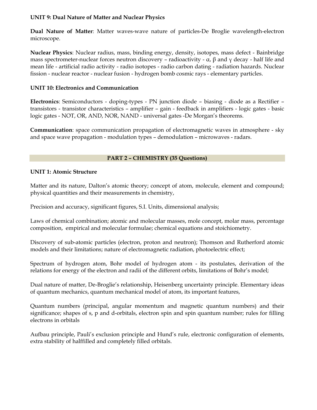## **UNIT 9: Dual Nature of Matter and Nuclear Physics**

**Dual Nature of Matter**: Matter waves-wave nature of particles-De Broglie wavelength-electron microscope.

**Nuclear Physics**: Nuclear radius, mass, binding energy, density, isotopes, mass defect - Bainbridge mass spectrometer-nuclear forces neutron discovery – radioactivity - α,  $β$  and  $γ$  decay - half life and mean life - artificial radio activity - radio isotopes - radio carbon dating - radiation hazards. Nuclear fission - nuclear reactor - nuclear fusion - hydrogen bomb cosmic rays - elementary particles.

## **UNIT 10: Electronics and Communication**

**Electronics**: Semiconductors - doping-types - PN junction diode – biasing - diode as a Rectifier – transistors - transistor characteristics – amplifier – gain - feedback in amplifiers - logic gates - basic logic gates - NOT, OR, AND, NOR, NAND - universal gates -De Morgan's theorems.

**Communication**: space communication propagation of electromagnetic waves in atmosphere - sky and space wave propagation - modulation types – demodulation – microwaves - radars.

# <span id="page-3-0"></span>**PART 2 – CHEMISTRY (35 Questions)**

# **UNIT 1: Atomic Structure**

Matter and its nature, Dalton's atomic theory; concept of atom, molecule, element and compound; physical quantities and their measurements in chemistry,

Precision and accuracy, significant figures, S.I. Units, dimensional analysis;

Laws of chemical combination; atomic and molecular masses, mole concept, molar mass, percentage composition, empirical and molecular formulae; chemical equations and stoichiometry.

Discovery of sub-atomic particles (electron, proton and neutron); Thomson and Rutherford atomic models and their limitations; nature of electromagnetic radiation, photoelectric effect;

Spectrum of hydrogen atom, Bohr model of hydrogen atom - its postulates, derivation of the relations for energy of the electron and radii of the different orbits, limitations of Bohr's model;

Dual nature of matter, De-Broglie's relationship, Heisenberg uncertainty principle. Elementary ideas of quantum mechanics, quantum mechanical model of atom, its important features,

Quantum numbers (principal, angular momentum and magnetic quantum numbers) and their significance; shapes of s, p and d-orbitals, electron spin and spin quantum number; rules for filling electrons in orbitals

Aufbau principle, Pauli's exclusion principle and Hund's rule, electronic configuration of elements, extra stability of halffilled and completely filled orbitals.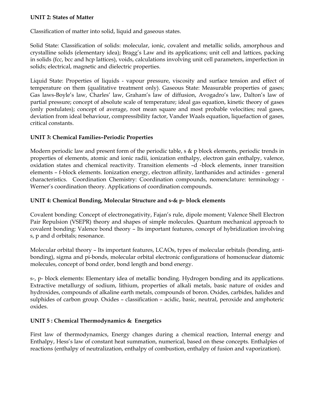## **UNIT 2: States of Matter**

Classification of matter into solid, liquid and gaseous states.

Solid State: Classification of solids: molecular, ionic, covalent and metallic solids, amorphous and crystalline solids (elementary idea); Bragg's Law and its applications; unit cell and lattices, packing in solids (fcc, bcc and hcp lattices), voids, calculations involving unit cell parameters, imperfection in solids; electrical, magnetic and dielectric properties.

Liquid State: Properties of liquids - vapour pressure, viscosity and surface tension and effect of temperature on them (qualitative treatment only). Gaseous State: Measurable properties of gases; Gas laws-Boyle's law, Charles' law, Graham's law of diffusion, Avogadro's law, Dalton's law of partial pressure; concept of absolute scale of temperature; ideal gas equation, kinetic theory of gases (only postulates); concept of average, root mean square and most probable velocities; real gases, deviation from ideal behaviour, compressibility factor, Vander Waals equation, liquefaction of gases, critical constants.

# **UNIT 3: Chemical Families–Periodic Properties**

Modern periodic law and present form of the periodic table,  $s \& p$  block elements, periodic trends in properties of elements, atomic and ionic radii, ionization enthalpy, electron gain enthalpy, valence, oxidation states and chemical reactivity. Transition elements –d -block elements, inner transition elements – f-block elements. Ionization energy, electron affinity, lanthanides and actinides - general characteristics. Coordination Chemistry: Coordination compounds, nomenclature: terminology - Werner's coordination theory. Applications of coordination compounds.

# **UNIT 4: Chemical Bonding, Molecular Structure and s-& p- block elements**

Covalent bonding: Concept of electronegativity, Fajan's rule, dipole moment; Valence Shell Electron Pair Repulsion (VSEPR) theory and shapes of simple molecules. Quantum mechanical approach to covalent bonding: Valence bond theory – Its important features, concept of hybridization involving s, p and d orbitals; resonance.

Molecular orbital theory – Its important features, LCAOs, types of molecular orbitals (bonding, antibonding), sigma and pi-bonds, molecular orbital electronic configurations of homonuclear diatomic molecules, concept of bond order, bond length and bond energy.

s-, p- block elements: Elementary idea of metallic bonding. Hydrogen bonding and its applications. Extractive metallurgy of sodium, lithium, properties of alkali metals, basic nature of oxides and hydroxides, compounds of alkaline earth metals, compounds of boron. Oxides, carbides, halides and sulphides of carbon group. Oxides – classification – acidic, basic, neutral, peroxide and amphoteric oxides.

## **UNIT 5 : Chemical Thermodynamics & Energetics**

First law of thermodynamics, Energy changes during a chemical reaction, Internal energy and Enthalpy, Hess's law of constant heat summation, numerical, based on these concepts. Enthalpies of reactions (enthalpy of neutralization, enthalpy of combustion, enthalpy of fusion and vaporization).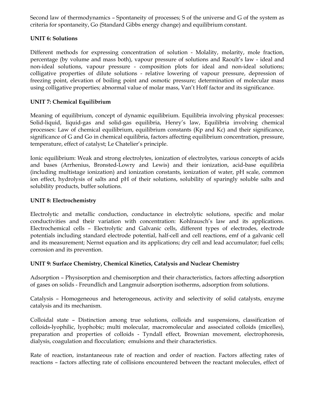Second law of thermodynamics – Spontaneity of processes; S of the universe and G of the system as criteria for spontaneity, Go (Standard Gibbs energy change) and equilibrium constant.

# **UNIT 6: Solutions**

Different methods for expressing concentration of solution - Molality, molarity, mole fraction, percentage (by volume and mass both), vapour pressure of solutions and Raoult's law - ideal and non-ideal solutions, vapour pressure - composition plots for ideal and non-ideal solutions; colligative properties of dilute solutions - relative lowering of vapour pressure, depression of freezing point, elevation of boiling point and osmotic pressure; determination of molecular mass using colligative properties; abnormal value of molar mass, Van't Hoff factor and its significance.

# **UNIT 7: Chemical Equilibrium**

Meaning of equilibrium, concept of dynamic equilibrium. Equilibria involving physical processes: Solid-liquid, liquid-gas and solid-gas equilibria, Henry's law, Equilibria involving chemical processes: Law of chemical equilibrium, equilibrium constants (Kp and Kc) and their significance, significance of G and Go in chemical equilibria, factors affecting equilibrium concentration, pressure, temperature, effect of catalyst; Le Chatelier's principle.

Ionic equilibrium: Weak and strong electrolytes, ionization of electrolytes, various concepts of acids and bases (Arrhenius, Bronsted-Lowry and Lewis) and their ionization, acid-base equilibria (including multistage ionization) and ionization constants, ionization of water, pH scale, common ion effect, hydrolysis of salts and pH of their solutions, solubility of sparingly soluble salts and solubility products, buffer solutions.

## **UNIT 8: Electrochemistry**

Electrolytic and metallic conduction, conductance in electrolytic solutions, specific and molar conductivities and their variation with concentration: Kohlrausch's law and its applications. Electrochemical cells – Electrolytic and Galvanic cells, different types of electrodes, electrode potentials including standard electrode potential, half-cell and cell reactions, emf of a galvanic cell and its measurement; Nernst equation and its applications; dry cell and lead accumulator; fuel cells; corrosion and its prevention.

## **UNIT 9: Surface Chemistry, Chemical Kinetics, Catalysis and Nuclear Chemistry**

Adsorption – Physisorption and chemisorption and their characteristics, factors affecting adsorption of gases on solids - Freundlich and Langmuir adsorption isotherms, adsorption from solutions.

Catalysis – Homogeneous and heterogeneous, activity and selectivity of solid catalysts, enzyme catalysis and its mechanism.

Colloidal state – Distinction among true solutions, colloids and suspensions, classification of colloids-lyophilic, lyophobic; multi molecular, macromolecular and associated colloids (micelles), preparation and properties of colloids - Tyndall effect, Brownian movement, electrophoresis, dialysis, coagulation and flocculation; emulsions and their characteristics.

Rate of reaction, instantaneous rate of reaction and order of reaction. Factors affecting rates of reactions – factors affecting rate of collisions encountered between the reactant molecules, effect of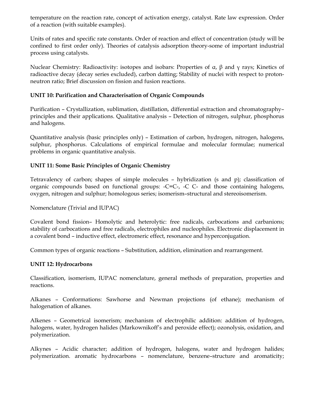temperature on the reaction rate, concept of activation energy, catalyst. Rate law expression. Order of a reaction (with suitable examples).

Units of rates and specific rate constants. Order of reaction and effect of concentration (study will be confined to first order only). Theories of catalysis adsorption theory-some of important industrial process using catalysts.

Nuclear Chemistry: Radioactivity: isotopes and isobars: Properties of α, β and γ rays; Kinetics of radioactive decay (decay series excluded), carbon datting; Stability of nuclei with respect to protonneutron ratio; Brief discussion on fission and fusion reactions.

# **UNIT 10: Purification and Characterisation of Organic Compounds**

Purification – Crystallization, sublimation, distillation, differential extraction and chromatography– principles and their applications. Qualitative analysis – Detection of nitrogen, sulphur, phosphorus and halogens.

Quantitative analysis (basic principles only) – Estimation of carbon, hydrogen, nitrogen, halogens, sulphur, phosphorus. Calculations of empirical formulae and molecular formulae; numerical problems in organic quantitative analysis.

# **UNIT 11: Some Basic Principles of Organic Chemistry**

Tetravalency of carbon; shapes of simple molecules – hybridization (s and p); classification of organic compounds based on functional groups: -C=C-, -C C- and those containing halogens, oxygen, nitrogen and sulphur; homologous series; isomerism–structural and stereoisomerism.

Nomenclature (Trivial and IUPAC)

Covalent bond fission– Homolytic and heterolytic: free radicals, carbocations and carbanions; stability of carbocations and free radicals, electrophiles and nucleophiles. Electronic displacement in a covalent bond – inductive effect, electromeric effect, resonance and hyperconjugation.

Common types of organic reactions – Substitution, addition, elimination and rearrangement.

## **UNIT 12: Hydrocarbons**

Classification, isomerism, IUPAC nomenclature, general methods of preparation, properties and reactions.

Alkanes – Conformations: Sawhorse and Newman projections (of ethane); mechanism of halogenation of alkanes.

Alkenes – Geometrical isomerism; mechanism of electrophilic addition: addition of hydrogen, halogens, water, hydrogen halides (Markownikoff's and peroxide effect); ozonolysis, oxidation, and polymerization.

Alkynes – Acidic character; addition of hydrogen, halogens, water and hydrogen halides; polymerization. aromatic hydrocarbons – nomenclature, benzene–structure and aromaticity;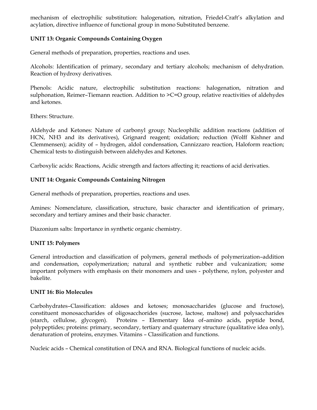mechanism of electrophilic substitution: halogenation, nitration, Friedel-Craft's alkylation and acylation, directive influence of functional group in mono Substituted benzene.

# **UNIT 13: Organic Compounds Containing Oxygen**

General methods of preparation, properties, reactions and uses.

Alcohols: Identification of primary, secondary and tertiary alcohols; mechanism of dehydration. Reaction of hydroxy derivatives.

Phenols: Acidic nature, electrophilic substitution reactions: halogenation, nitration and sulphonation, Reimer-Tiemann reaction. Addition to >C=O group, relative reactivities of aldehydes and ketones.

Ethers: Structure.

Aldehyde and Ketones: Nature of carbonyl group; Nucleophilic addition reactions (addition of HCN, NH3 and its derivatives), Grignard reagent; oxidation; reduction (Wolff Kishner and Clemmensen); acidity of – hydrogen, aldol condensation, Cannizzaro reaction, Haloform reaction; Chemical tests to distinguish between aldehydes and Ketones.

Carboxylic acids: Reactions, Acidic strength and factors affecting it; reactions of acid derivaties.

# **UNIT 14: Organic Compounds Containing Nitrogen**

General methods of preparation, properties, reactions and uses.

Amines: Nomenclature, classification, structure, basic character and identification of primary, secondary and tertiary amines and their basic character.

Diazonium salts: Importance in synthetic organic chemistry.

## **UNIT 15: Polymers**

General introduction and classification of polymers, general methods of polymerization–addition and condensation, copolymerization; natural and synthetic rubber and vulcanization; some important polymers with emphasis on their monomers and uses - polythene, nylon, polyester and bakelite.

## **UNIT 16: Bio Molecules**

Carbohydrates–Classification: aldoses and ketoses; monosaccharides (glucose and fructose), constituent monosaccharides of oligosacchorides (sucrose, lactose, maltose) and polysaccharides (starch, cellulose, glycogen). Proteins – Elementary Idea of–amino acids, peptide bond, polypeptides; proteins: primary, secondary, tertiary and quaternary structure (qualitative idea only), denaturation of proteins, enzymes. Vitamins – Classification and functions.

Nucleic acids – Chemical constitution of DNA and RNA. Biological functions of nucleic acids.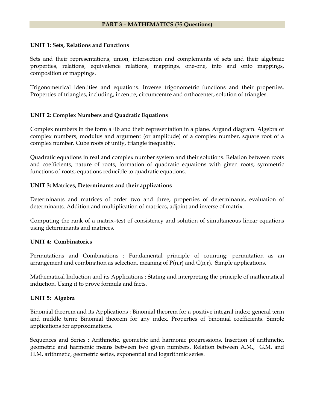#### <span id="page-8-0"></span>**PART 3 – MATHEMATICS (35 Questions)**

#### **UNIT 1: Sets, Relations and Functions**

Sets and their representations, union, intersection and complements of sets and their algebraic properties, relations, equivalence relations, mappings, one-one, into and onto mappings, composition of mappings.

Trigonometrical identities and equations. Inverse trigonometric functions and their properties. Properties of triangles, including, incentre, circumcentre and orthocenter, solution of triangles.

#### **UNIT 2: Complex Numbers and Quadratic Equations**

Complex numbers in the form a+ib and their representation in a plane. Argand diagram. Algebra of complex numbers, modulus and argument (or amplitude) of a complex number, square root of a complex number. Cube roots of unity, triangle inequality.

Quadratic equations in real and complex number system and their solutions. Relation between roots and coefficients, nature of roots, formation of quadratic equations with given roots; symmetric functions of roots, equations reducible to quadratic equations.

#### **UNIT 3: Matrices, Determinants and their applications**

Determinants and matrices of order two and three, properties of determinants, evaluation of determinants. Addition and multiplication of matrices, adjoint and inverse of matrix.

Computing the rank of a matrix–test of consistency and solution of simultaneous linear equations using determinants and matrices.

#### **UNIT 4: Combinatorics**

Permutations and Combinations : Fundamental principle of counting: permutation as an arrangement and combination as selection, meaning of  $P(n,r)$  and  $C(n,r)$ . Simple applications.

Mathematical Induction and its Applications : Stating and interpreting the principle of mathematical induction. Using it to prove formula and facts.

#### **UNIT 5: Algebra**

Binomial theorem and its Applications : Binomial theorem for a positive integral index; general term and middle term; Binomial theorem for any index. Properties of binomial coefficients. Simple applications for approximations.

Sequences and Series : Arithmetic, geometric and harmonic progressions. Insertion of arithmetic, geometric and harmonic means between two given numbers. Relation between A.M., G.M. and H.M. arithmetic, geometric series, exponential and logarithmic series.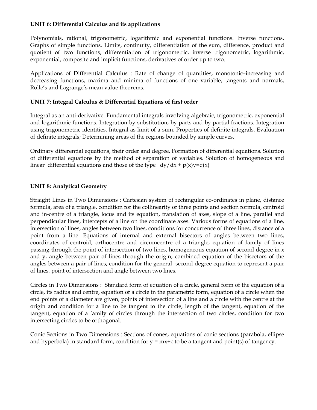# **UNIT 6: Differential Calculus and its applications**

Polynomials, rational, trigonometric, logarithmic and exponential functions. Inverse functions. Graphs of simple functions. Limits, continuity, differentiation of the sum, difference, product and quotient of two functions, differentiation of trigonometric, inverse trigonometric, logarithmic, exponential, composite and implicit functions, derivatives of order up to two.

Applications of Differential Calculus : Rate of change of quantities, monotonic–increasing and decreasing functions, maxima and minima of functions of one variable, tangents and normals, Rolle's and Lagrange's mean value theorems.

# **UNIT 7: Integral Calculus & Differential Equations of first order**

Integral as an anti-derivative. Fundamental integrals involving algebraic, trigonometric, exponential and logarithmic functions. Integration by substitution, by parts and by partial fractions. Integration using trigonometric identities. Integral as limit of a sum. Properties of definite integrals. Evaluation of definite integrals; Determining areas of the regions bounded by simple curves.

Ordinary differential equations, their order and degree. Formation of differential equations. Solution of differential equations by the method of separation of variables. Solution of homogeneous and linear differential equations and those of the type  $dy/dx + p(x)y = q(x)$ 

# **UNIT 8: Analytical Geometry**

Straight Lines in Two Dimensions : Cartesian system of rectangular co-ordinates in plane, distance formula, area of a triangle, condition for the collinearity of three points and section formula, centroid and in-centre of a triangle, locus and its equation, translation of axes, slope of a line, parallel and perpendicular lines, intercepts of a line on the coordinate axes. Various forms of equations of a line, intersection of lines, angles between two lines, conditions for concurrence of three lines, distance of a point from a line. Equations of internal and external bisectors of angles between two lines, coordinates of centroid, orthocentre and circumcentre of a triangle, equation of family of lines passing through the point of intersection of two lines, homogeneous equation of second degree in x and y, angle between pair of lines through the origin, combined equation of the bisectors of the angles between a pair of lines, condition for the general second degree equation to represent a pair of lines, point of intersection and angle between two lines.

Circles in Two Dimensions :Standard form of equation of a circle, general form of the equation of a circle, its radius and centre, equation of a circle in the parametric form, equation of a circle when the end points of a diameter are given, points of intersection of a line and a circle with the centre at the origin and condition for a line to be tangent to the circle, length of the tangent, equation of the tangent, equation of a family of circles through the intersection of two circles, condition for two intersecting circles to be orthogonal.

Conic Sections in Two Dimensions : Sections of cones, equations of conic sections (parabola, ellipse and hyperbola) in standard form, condition for  $y = mx+c$  to be a tangent and point(s) of tangency.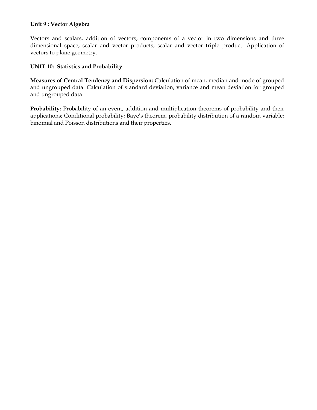## **Unit 9 : Vector Algebra**

Vectors and scalars, addition of vectors, components of a vector in two dimensions and three dimensional space, scalar and vector products, scalar and vector triple product. Application of vectors to plane geometry.

## **UNIT 10: Statistics and Probability**

**Measures of Central Tendency and Dispersion:** Calculation of mean, median and mode of grouped and ungrouped data. Calculation of standard deviation, variance and mean deviation for grouped and ungrouped data.

**Probability:** Probability of an event, addition and multiplication theorems of probability and their applications; Conditional probability; Baye's theorem, probability distribution of a random variable; binomial and Poisson distributions and their properties.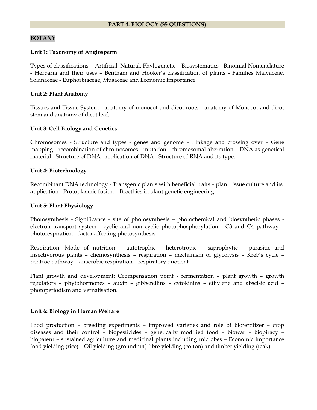#### <span id="page-11-0"></span>**BOTANY**

#### **Unit 1: Taxonomy of Angiosperm**

Types of classifications - Artificial, Natural, Phylogenetic – Biosystematics - Binomial Nomenclature - Herbaria and their uses – Bentham and Hooker's classification of plants - Families Malvaceae, Solanaceae - Euphorbiaceae, Musaceae and Economic Importance.

#### **Unit 2: Plant Anatomy**

Tissues and Tissue System - anatomy of monocot and dicot roots - anatomy of Monocot and dicot stem and anatomy of dicot leaf.

#### **Unit 3: Cell Biology and Genetics**

Chromosomes - Structure and types - genes and genome – Linkage and crossing over – Gene mapping - recombination of chromosomes - mutation - chromosomal aberration – DNA as genetical material - Structure of DNA - replication of DNA - Structure of RNA and its type.

#### **Unit 4: Biotechnology**

Recombinant DNA technology - Transgenic plants with beneficial traits – plant tissue culture and its application - Protoplasmic fusion – Bioethics in plant genetic engineering.

#### **Unit 5: Plant Physiology**

Photosynthesis - Significance - site of photosynthesis – photochemical and biosynthetic phases electron transport system - cyclic and non cyclic photophosphorylation - C3 and C4 pathway – photorespiration – factor affecting photosynthesis

Respiration: Mode of nutrition – autotrophic - heterotropic – saprophytic – parasitic and insectivorous plants – chemosynthesis – respiration – mechanism of glycolysis – Kreb's cycle – pentose pathway – anaerobic respiration – respiratory quotient

Plant growth and development: Ccompensation point - fermentation – plant growth – growth regulators – phytohormones – auxin – gibberellins – cytokinins – ethylene and abscisic acid – photoperiodism and vernalisation.

#### **Unit 6: Biology in Human Welfare**

Food production – breeding experiments – improved varieties and role of biofertilizer – crop diseases and their control – biopesticides – genetically modified food – biowar – biopiracy – biopatent – sustained agriculture and medicinal plants including microbes – Economic importance food yielding (rice) – Oil yielding (groundnut) fibre yielding (cotton) and timber yielding (teak).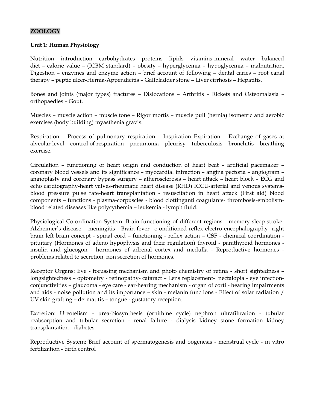# **ZOOLOGY**

#### **Unit 1: Human Physiology**

Nutrition – introduction – carbohydrates – proteins – lipids – vitamins mineral – water – balanced diet – calorie value – (ICBM standard) – obesity – hyperglycemia – hypoglycemia – malnutrition. Digestion – enzymes and enzyme action – brief account of following – dental caries – root canal therapy – peptic ulcer-Hernia-Appendicitis – Gallbladder stone – Liver cirrhosis – Hepatitis.

Bones and joints (major types) fractures – Dislocations – Arthritis – Rickets and Osteomalasia – orthopaedies – Gout.

Muscles – muscle action – muscle tone – Rigor mortis – muscle pull (hernia) isometric and aerobic exercises (body building) myasthenia gravis.

Respiration – Process of pulmonary respiration – Inspiration Expiration – Exchange of gases at alveolar level – control of respiration – pneumonia – pleurisy – tuberculosis – bronchitis – breathing exercise.

Circulation – functioning of heart origin and conduction of heart beat – artificial pacemaker – coronary blood vessels and its significance – myocardial infraction – angina pectoria – angiogram – angioplasty and coronary bypass surgery – atherosclerosis – heart attack – heart block – ECG and echo cardiography-heart valves-rheumatic heart disease (RHD) ICCU-arterial and venous systemsblood pressure pulse rate-heart transplantation - resuscitation in heart attack (First aid) blood components – functions - plasma-corpuscles - blood clottinganti coagulants- thrombosis-embolismblood related diseases like polycythemia – leukemia - lymph fluid.

Physiological Co-ordination System: Brain-functioning of different regions - memory-sleep-stroke-Alzheimer's disease – meningitis - Brain fever –c onditioned reflex electro encephalography- right brain left brain concept - spinal cord – functioning - reflex action – CSF - chemical coordination pituitary (Hormones of adeno hypophysis and their regulation) thyroid - parathyroid hormones insulin and glucogon - hormones of adrenal cortex and medulla - Reproductive hormones problems related to secretion, non secretion of hormones.

Receptor Organs: Eye - focussing mechanism and photo chemistry of retina - short sightedness – longsightedness – optometry - retinopathy- cataract – Lens replacement- nectalopia - eye infectionconjunctivities – glaucoma - eye care - ear-hearing mechanism - organ of corti - hearing impairments and aids - noise pollution and its importance – skin - melanin functions - Effect of solar radiation / UV skin grafting – dermatitis – tongue - gustatory reception.

Excretion: Ureotelism - urea-biosynthesis (ornithine cycle) nephron ultrafiltration - tubular reabsorption and tubular secretion - renal failure - dialysis kidney stone formation kidney transplantation - diabetes.

Reproductive System: Brief account of spermatogenesis and oogenesis - menstrual cycle - in vitro fertilization - birth control